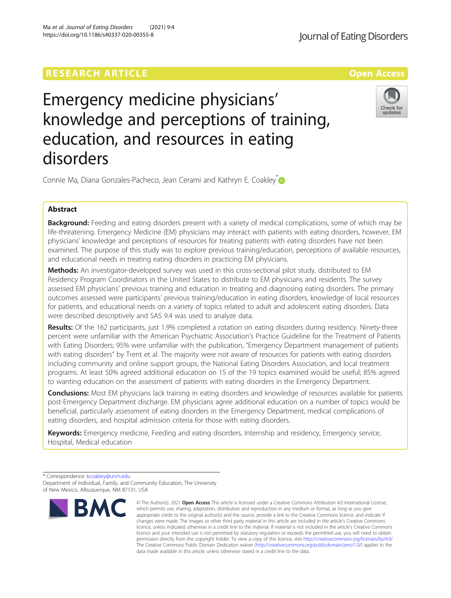# **RESEARCH ARTICLE External Structure Community Community Community Community Community Community Community Community**

Emergency medicine physicians' knowledge and perceptions of training, education, and resources in eating disorders

Connie Ma, Diana Gonzales-Pacheco, Jean Cerami and Kathryn E. Coakley<sup>®</sup>

## Abstract

Background: Feeding and eating disorders present with a variety of medical complications, some of which may be life-threatening. Emergency Medicine (EM) physicians may interact with patients with eating disorders, however, EM physicians' knowledge and perceptions of resources for treating patients with eating disorders have not been examined. The purpose of this study was to explore previous training/education, perceptions of available resources, and educational needs in treating eating disorders in practicing EM physicians.

Methods: An investigator-developed survey was used in this cross-sectional pilot study, distributed to EM Residency Program Coordinators in the United States to distribute to EM physicians and residents. The survey assessed EM physicians' previous training and education in treating and diagnosing eating disorders. The primary outcomes assessed were participants' previous training/education in eating disorders, knowledge of local resources for patients, and educational needs on a variety of topics related to adult and adolescent eating disorders. Data were described descriptively and SAS 9.4 was used to analyze data.

Results: Of the 162 participants, just 1.9% completed a rotation on eating disorders during residency. Ninety-three percent were unfamiliar with the American Psychiatric Association's Practice Guideline for the Treatment of Patients with Eating Disorders; 95% were unfamiliar with the publication, "Emergency Department management of patients with eating disorders" by Trent et al. The majority were not aware of resources for patients with eating disorders including community and online support groups, the National Eating Disorders Association, and local treatment programs. At least 50% agreed additional education on 15 of the 19 topics examined would be useful; 85% agreed to wanting education on the assessment of patients with eating disorders in the Emergency Department.

**Conclusions:** Most EM physicians lack training in eating disorders and knowledge of resources available for patients post-Emergency Department discharge. EM physicians agree additional education on a number of topics would be beneficial, particularly assessment of eating disorders in the Emergency Department, medical complications of eating disorders, and hospital admission criteria for those with eating disorders.

Keywords: Emergency medicine, Feeding and eating disorders, Internship and residency, Emergency service, Hospital, Medical education

<sup>\*</sup> Correspondence: [kcoakley@unm.edu](mailto:kcoakley@unm.edu) Department of Individual, Family, and Community Education, The University of New Mexico, Albuquerque, NM 87131, USA







Journal of Eating Disorders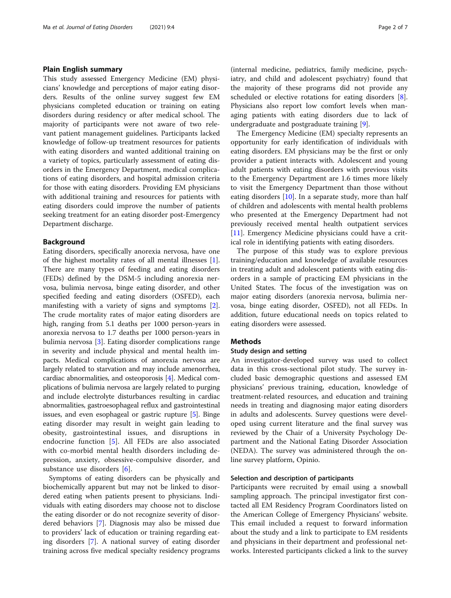## Plain English summary

This study assessed Emergency Medicine (EM) physicians' knowledge and perceptions of major eating disorders. Results of the online survey suggest few EM physicians completed education or training on eating disorders during residency or after medical school. The majority of participants were not aware of two relevant patient management guidelines. Participants lacked knowledge of follow-up treatment resources for patients with eating disorders and wanted additional training on a variety of topics, particularly assessment of eating disorders in the Emergency Department, medical complications of eating disorders, and hospital admission criteria for those with eating disorders. Providing EM physicians with additional training and resources for patients with eating disorders could improve the number of patients seeking treatment for an eating disorder post-Emergency Department discharge.

## Background

Eating disorders, specifically anorexia nervosa, have one of the highest mortality rates of all mental illnesses [\[1](#page-6-0)]. There are many types of feeding and eating disorders (FEDs) defined by the DSM-5 including anorexia nervosa, bulimia nervosa, binge eating disorder, and other specified feeding and eating disorders (OSFED), each manifesting with a variety of signs and symptoms [\[2](#page-6-0)]. The crude mortality rates of major eating disorders are high, ranging from 5.1 deaths per 1000 person-years in anorexia nervosa to 1.7 deaths per 1000 person-years in bulimia nervosa [\[3](#page-6-0)]. Eating disorder complications range in severity and include physical and mental health impacts. Medical complications of anorexia nervosa are largely related to starvation and may include amenorrhea, cardiac abnormalities, and osteoporosis [\[4](#page-6-0)]. Medical complications of bulimia nervosa are largely related to purging and include electrolyte disturbances resulting in cardiac abnormalities, gastroesophageal reflux and gastrointestinal issues, and even esophageal or gastric rupture [\[5\]](#page-6-0). Binge eating disorder may result in weight gain leading to obesity, gastrointestinal issues, and disruptions in endocrine function [\[5](#page-6-0)]. All FEDs are also associated with co-morbid mental health disorders including depression, anxiety, obsessive-compulsive disorder, and substance use disorders [\[6](#page-6-0)].

Symptoms of eating disorders can be physically and biochemically apparent but may not be linked to disordered eating when patients present to physicians. Individuals with eating disorders may choose not to disclose the eating disorder or do not recognize severity of disordered behaviors [\[7](#page-6-0)]. Diagnosis may also be missed due to providers' lack of education or training regarding eating disorders [\[7](#page-6-0)]. A national survey of eating disorder training across five medical specialty residency programs

(internal medicine, pediatrics, family medicine, psychiatry, and child and adolescent psychiatry) found that the majority of these programs did not provide any scheduled or elective rotations for eating disorders [\[8](#page-6-0)]. Physicians also report low comfort levels when managing patients with eating disorders due to lack of undergraduate and postgraduate training [\[9](#page-6-0)].

The Emergency Medicine (EM) specialty represents an opportunity for early identification of individuals with eating disorders. EM physicians may be the first or only provider a patient interacts with. Adolescent and young adult patients with eating disorders with previous visits to the Emergency Department are 1.6 times more likely to visit the Emergency Department than those without eating disorders [\[10](#page-6-0)]. In a separate study, more than half of children and adolescents with mental health problems who presented at the Emergency Department had not previously received mental health outpatient services [[11\]](#page-6-0). Emergency Medicine physicians could have a critical role in identifying patients with eating disorders.

The purpose of this study was to explore previous training/education and knowledge of available resources in treating adult and adolescent patients with eating disorders in a sample of practicing EM physicians in the United States. The focus of the investigation was on major eating disorders (anorexia nervosa, bulimia nervosa, binge eating disorder, OSFED), not all FEDs. In addition, future educational needs on topics related to eating disorders were assessed.

## Methods

## Study design and setting

An investigator-developed survey was used to collect data in this cross-sectional pilot study. The survey included basic demographic questions and assessed EM physicians' previous training, education, knowledge of treatment-related resources, and education and training needs in treating and diagnosing major eating disorders in adults and adolescents. Survey questions were developed using current literature and the final survey was reviewed by the Chair of a University Psychology Department and the National Eating Disorder Association (NEDA). The survey was administered through the online survey platform, Opinio.

## Selection and description of participants

Participants were recruited by email using a snowball sampling approach. The principal investigator first contacted all EM Residency Program Coordinators listed on the American College of Emergency Physicians' website. This email included a request to forward information about the study and a link to participate to EM residents and physicians in their department and professional networks. Interested participants clicked a link to the survey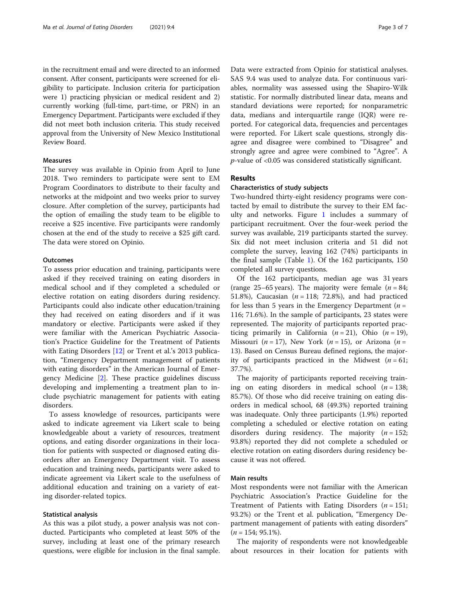in the recruitment email and were directed to an informed consent. After consent, participants were screened for eligibility to participate. Inclusion criteria for participation were 1) practicing physician or medical resident and 2) currently working (full-time, part-time, or PRN) in an Emergency Department. Participants were excluded if they did not meet both inclusion criteria. This study received approval from the University of New Mexico Institutional Review Board.

## Measures

The survey was available in Opinio from April to June 2018. Two reminders to participate were sent to EM Program Coordinators to distribute to their faculty and networks at the midpoint and two weeks prior to survey closure. After completion of the survey, participants had the option of emailing the study team to be eligible to receive a \$25 incentive. Five participants were randomly chosen at the end of the study to receive a \$25 gift card. The data were stored on Opinio.

## **Outcomes**

To assess prior education and training, participants were asked if they received training on eating disorders in medical school and if they completed a scheduled or elective rotation on eating disorders during residency. Participants could also indicate other education/training they had received on eating disorders and if it was mandatory or elective. Participants were asked if they were familiar with the American Psychiatric Association's Practice Guideline for the Treatment of Patients with Eating Disorders [\[12\]](#page-6-0) or Trent et al.'s 2013 publication, "Emergency Department management of patients with eating disorders" in the American Journal of Emergency Medicine [\[2](#page-6-0)]. These practice guidelines discuss developing and implementing a treatment plan to include psychiatric management for patients with eating disorders.

To assess knowledge of resources, participants were asked to indicate agreement via Likert scale to being knowledgeable about a variety of resources, treatment options, and eating disorder organizations in their location for patients with suspected or diagnosed eating disorders after an Emergency Department visit. To assess education and training needs, participants were asked to indicate agreement via Likert scale to the usefulness of additional education and training on a variety of eating disorder-related topics.

## Statistical analysis

As this was a pilot study, a power analysis was not conducted. Participants who completed at least 50% of the survey, including at least one of the primary research questions, were eligible for inclusion in the final sample. Data were extracted from Opinio for statistical analyses. SAS 9.4 was used to analyze data. For continuous variables, normality was assessed using the Shapiro-Wilk statistic. For normally distributed linear data, means and standard deviations were reported; for nonparametric data, medians and interquartile range (IQR) were reported. For categorical data, frequencies and percentages were reported. For Likert scale questions, strongly disagree and disagree were combined to "Disagree" and strongly agree and agree were combined to "Agree". A  $p$ -value of <0.05 was considered statistically significant.

## Results

## Characteristics of study subjects

Two-hundred thirty-eight residency programs were contacted by email to distribute the survey to their EM faculty and networks. Figure [1](#page-3-0) includes a summary of participant recruitment. Over the four-week period the survey was available, 219 participants started the survey. Six did not meet inclusion criteria and 51 did not complete the survey, leaving 162 (74%) participants in the final sample (Table [1\)](#page-3-0). Of the 162 participants, 150 completed all survey questions.

Of the 162 participants, median age was 31 years (range 25–65 years). The majority were female ( $n = 84$ ; 51.8%), Caucasian ( $n = 118$ ; 72.8%), and had practiced for less than 5 years in the Emergency Department ( $n =$ 116; 71.6%). In the sample of participants, 23 states were represented. The majority of participants reported practicing primarily in California  $(n = 21)$ , Ohio  $(n = 19)$ , Missouri ( $n = 17$ ), New York ( $n = 15$ ), or Arizona ( $n =$ 13). Based on Census Bureau defined regions, the majority of participants practiced in the Midwest  $(n = 61;$ 37.7%).

The majority of participants reported receiving training on eating disorders in medical school  $(n = 138;$ 85.7%). Of those who did receive training on eating disorders in medical school, 68 (49.3%) reported training was inadequate. Only three participants (1.9%) reported completing a scheduled or elective rotation on eating disorders during residency. The majority  $(n = 152)$ ; 93.8%) reported they did not complete a scheduled or elective rotation on eating disorders during residency because it was not offered.

#### Main results

Most respondents were not familiar with the American Psychiatric Association's Practice Guideline for the Treatment of Patients with Eating Disorders  $(n = 151;$ 93.2%) or the Trent et al. publication, "Emergency Department management of patients with eating disorders"  $(n = 154; 95.1\%)$ .

The majority of respondents were not knowledgeable about resources in their location for patients with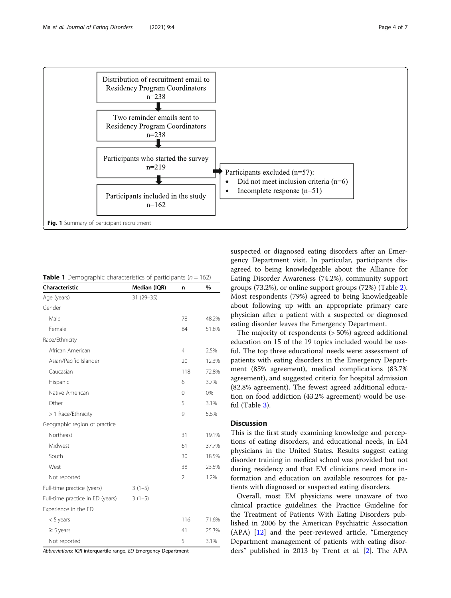<span id="page-3-0"></span>

**Table 1** Demographic characteristics of participants ( $n = 162$ )

| Characteristic                   | Median (IQR) | n              | %     |
|----------------------------------|--------------|----------------|-------|
| Age (years)                      | 31 (29 - 35) |                |       |
| Gender                           |              |                |       |
| Male                             |              | 78             | 48.2% |
| Female                           |              | 84             | 51.8% |
| Race/Ethnicity                   |              |                |       |
| African American                 |              | $\overline{4}$ | 2.5%  |
| Asian/Pacific Islander           |              | 20             | 12.3% |
| Caucasian                        |              | 118            | 72.8% |
| Hispanic                         |              | 6              | 3.7%  |
| Native American                  |              | 0              | 0%    |
| Other                            |              | 5              | 3.1%  |
| > 1 Race/Ethnicity               |              | 9              | 5.6%  |
| Geographic region of practice    |              |                |       |
| Northeast                        |              | 31             | 19.1% |
| Midwest                          |              | 61             | 37.7% |
| South                            |              | 30             | 18.5% |
| West                             |              | 38             | 23.5% |
| Not reported                     |              | $\mathfrak{D}$ | 1.2%  |
| Full-time practice (years)       | $3(1-5)$     |                |       |
| Full-time practice in ED (years) | $3(1-5)$     |                |       |
| Experience in the ED             |              |                |       |
| $<$ 5 years                      |              | 116            | 71.6% |
| $\geq$ 5 years                   |              | 41             | 25.3% |
| Not reported                     |              | 5              | 3.1%  |

Abbreviations: IQR interquartile range, ED Emergency Department

suspected or diagnosed eating disorders after an Emergency Department visit. In particular, participants disagreed to being knowledgeable about the Alliance for Eating Disorder Awareness (74.2%), community support groups (73.2%), or online support groups (72%) (Table [2](#page-4-0)). Most respondents (79%) agreed to being knowledgeable about following up with an appropriate primary care physician after a patient with a suspected or diagnosed eating disorder leaves the Emergency Department.

The majority of respondents (> 50%) agreed additional education on 15 of the 19 topics included would be useful. The top three educational needs were: assessment of patients with eating disorders in the Emergency Department (85% agreement), medical complications (83.7% agreement), and suggested criteria for hospital admission (82.8% agreement). The fewest agreed additional education on food addiction (43.2% agreement) would be useful (Table [3](#page-4-0)).

## **Discussion**

This is the first study examining knowledge and perceptions of eating disorders, and educational needs, in EM physicians in the United States. Results suggest eating disorder training in medical school was provided but not during residency and that EM clinicians need more information and education on available resources for patients with diagnosed or suspected eating disorders.

Overall, most EM physicians were unaware of two clinical practice guidelines: the Practice Guideline for the Treatment of Patients With Eating Disorders published in 2006 by the American Psychiatric Association (APA) [[12\]](#page-6-0) and the peer-reviewed article, "Emergency Department management of patients with eating disorders" published in 2013 by Trent et al. [\[2](#page-6-0)]. The APA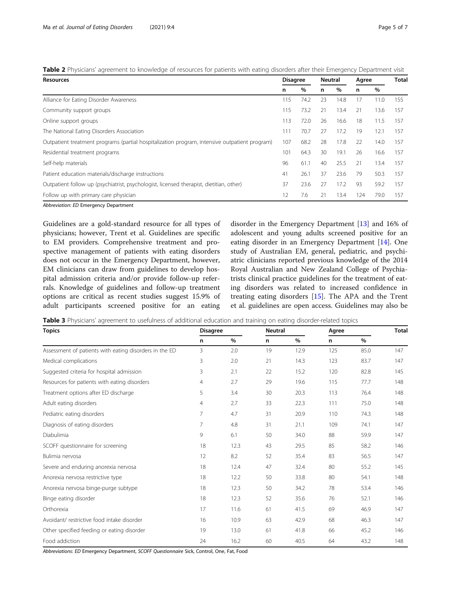<span id="page-4-0"></span>Table 2 Physicians' agreement to knowledge of resources for patients with eating disorders after their Emergency Department visit

| Resources                                                                                     |     | <b>Disagree</b> |    | Neutral |     | Agree |     |
|-----------------------------------------------------------------------------------------------|-----|-----------------|----|---------|-----|-------|-----|
|                                                                                               | n   | $\%$            | n  | $\%$    | n   | $\%$  |     |
| Alliance for Eating Disorder Awareness                                                        | 115 | 74.2            | 23 | 14.8    | 17  | 11.0  | 155 |
| Community support groups                                                                      | 115 | 73.2            | 21 | 13.4    | 21  | 13.6  | 157 |
| Online support groups                                                                         | 113 | 72.0            | 26 | 16.6    | 18  | 11.5  | 157 |
| The National Eating Disorders Association                                                     | 111 | 70.7            | 27 | 17.2    | 19  | 12.1  | 157 |
| Outpatient treatment programs (partial hospitalization program, intensive outpatient program) | 107 | 68.2            | 28 | 17.8    | 22  | 14.0  | 157 |
| Residential treatment programs                                                                | 101 | 64.3            | 30 | 19.1    | 26  | 16.6  | 157 |
| Self-help materials                                                                           | 96  | 61.1            | 40 | 25.5    | 21  | 13.4  | 157 |
| Patient education materials/discharge instructions                                            | 41  | 26.1            | 37 | 23.6    | 79  | 50.3  | 157 |
| Outpatient follow up (psychiatrist, psychologist, licensed therapist, dietitian, other)       | 37  | 23.6            | 27 | 17.2    | 93  | 59.2  | 157 |
| Follow up with primary care physician                                                         | 12  | 7.6             | 21 | 13.4    | 124 | 79.0  | 157 |
| Abbreviation: ED Emergency Department                                                         |     |                 |    |         |     |       |     |

Guidelines are a gold-standard resource for all types of physicians; however, Trent et al. Guidelines are specific to EM providers. Comprehensive treatment and prospective management of patients with eating disorders does not occur in the Emergency Department, however, EM clinicians can draw from guidelines to develop hospital admission criteria and/or provide follow-up referrals. Knowledge of guidelines and follow-up treatment options are critical as recent studies suggest 15.9% of adult participants screened positive for an eating

disorder in the Emergency Department [[13\]](#page-6-0) and 16% of adolescent and young adults screened positive for an eating disorder in an Emergency Department [[14\]](#page-6-0). One study of Australian EM, general, pediatric, and psychiatric clinicians reported previous knowledge of the 2014 Royal Australian and New Zealand College of Psychiatrists clinical practice guidelines for the treatment of eating disorders was related to increased confidence in treating eating disorders [[15](#page-6-0)]. The APA and the Trent et al. guidelines are open access. Guidelines may also be

Table 3 Physicians' agreement to usefulness of additional education and training on eating disorder-related topics

| <b>Topics</b>                                          | <b>Disagree</b> |      |    | <b>Neutral</b> |     |      | <b>Total</b> |
|--------------------------------------------------------|-----------------|------|----|----------------|-----|------|--------------|
|                                                        | n               | $\%$ | n  | %              | n.  | $\%$ |              |
| Assessment of patients with eating disorders in the ED | 3               | 2.0  | 19 | 12.9           | 125 | 85.0 | 147          |
| Medical complications                                  | 3               | 2.0  | 21 | 14.3           | 123 | 83.7 | 147          |
| Suggested criteria for hospital admission              | 3               | 2.1  | 22 | 15.2           | 120 | 82.8 | 145          |
| Resources for patients with eating disorders           | 4               | 2.7  | 29 | 19.6           | 115 | 77.7 | 148          |
| Treatment options after ED discharge                   | 5               | 3.4  | 30 | 20.3           | 113 | 76.4 | 148          |
| Adult eating disorders                                 | 4               | 2.7  | 33 | 22.3           | 111 | 75.0 | 148          |
| Pediatric eating disorders                             | 7               | 4.7  | 31 | 20.9           | 110 | 74.3 | 148          |
| Diagnosis of eating disorders                          | 7               | 4.8  | 31 | 21.1           | 109 | 74.1 | 147          |
| Diabulimia                                             | 9               | 6.1  | 50 | 34.0           | 88  | 59.9 | 147          |
| SCOFF questionnaire for screening                      | 18              | 12.3 | 43 | 29.5           | 85  | 58.2 | 146          |
| Bulimia nervosa                                        | 12              | 8.2  | 52 | 35.4           | 83  | 56.5 | 147          |
| Severe and enduring anorexia nervosa                   | 18              | 12.4 | 47 | 32.4           | 80  | 55.2 | 145          |
| Anorexia nervosa restrictive type                      | 18              | 12.2 | 50 | 33.8           | 80  | 54.1 | 148          |
| Anorexia nervosa binge-purge subtype                   | 18              | 12.3 | 50 | 34.2           | 78  | 53.4 | 146          |
| Binge eating disorder                                  | 18              | 12.3 | 52 | 35.6           | 76  | 52.1 | 146          |
| Orthorexia                                             | 17              | 11.6 | 61 | 41.5           | 69  | 46.9 | 147          |
| Avoidant/ restrictive food intake disorder             | 16              | 10.9 | 63 | 42.9           | 68  | 46.3 | 147          |
| Other specified feeding or eating disorder             | 19              | 13.0 | 61 | 41.8           | 66  | 45.2 | 146          |
| Food addiction                                         | 24              | 16.2 | 60 | 40.5           | 64  | 43.2 | 148          |

Abbreviations: ED Emergency Department, SCOFF Questionnaire Sick, Control, One, Fat, Food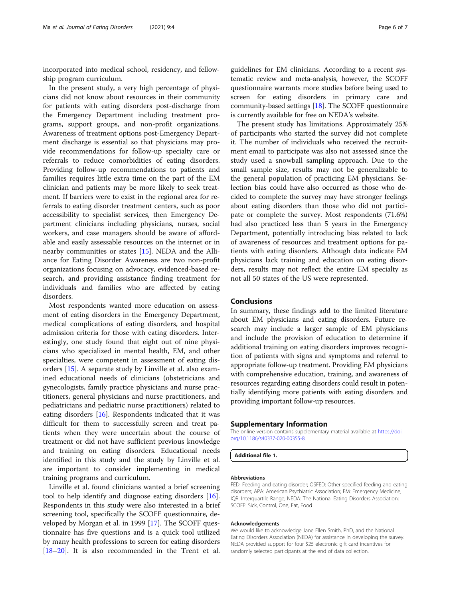incorporated into medical school, residency, and fellowship program curriculum.

In the present study, a very high percentage of physicians did not know about resources in their community for patients with eating disorders post-discharge from the Emergency Department including treatment programs, support groups, and non-profit organizations. Awareness of treatment options post-Emergency Department discharge is essential so that physicians may provide recommendations for follow-up specialty care or referrals to reduce comorbidities of eating disorders. Providing follow-up recommendations to patients and families requires little extra time on the part of the EM clinician and patients may be more likely to seek treatment. If barriers were to exist in the regional area for referrals to eating disorder treatment centers, such as poor accessibility to specialist services, then Emergency Department clinicians including physicians, nurses, social workers, and case managers should be aware of affordable and easily assessable resources on the internet or in nearby communities or states [\[15\]](#page-6-0). NEDA and the Alliance for Eating Disorder Awareness are two non-profit organizations focusing on advocacy, evidenced-based research, and providing assistance finding treatment for individuals and families who are affected by eating disorders.

Most respondents wanted more education on assessment of eating disorders in the Emergency Department, medical complications of eating disorders, and hospital admission criteria for those with eating disorders. Interestingly, one study found that eight out of nine physicians who specialized in mental health, EM, and other specialties, were competent in assessment of eating disorders [[15\]](#page-6-0). A separate study by Linville et al. also examined educational needs of clinicians (obstetricians and gynecologists, family practice physicians and nurse practitioners, general physicians and nurse practitioners, and pediatricians and pediatric nurse practitioners) related to eating disorders [[16\]](#page-6-0). Respondents indicated that it was difficult for them to successfully screen and treat patients when they were uncertain about the course of treatment or did not have sufficient previous knowledge and training on eating disorders. Educational needs identified in this study and the study by Linville et al. are important to consider implementing in medical training programs and curriculum.

Linville et al. found clinicians wanted a brief screening tool to help identify and diagnose eating disorders [\[16](#page-6-0)]. Respondents in this study were also interested in a brief screening tool, specifically the SCOFF questionnaire, developed by Morgan et al. in 1999 [\[17](#page-6-0)]. The SCOFF questionnaire has five questions and is a quick tool utilized by many health professions to screen for eating disorders [[18](#page-6-0)–[20](#page-6-0)]. It is also recommended in the Trent et al.

guidelines for EM clinicians. According to a recent systematic review and meta-analysis, however, the SCOFF questionnaire warrants more studies before being used to screen for eating disorders in primary care and community-based settings [[18](#page-6-0)]. The SCOFF questionnaire is currently available for free on NEDA's website.

The present study has limitations. Approximately 25% of participants who started the survey did not complete it. The number of individuals who received the recruitment email to participate was also not assessed since the study used a snowball sampling approach. Due to the small sample size, results may not be generalizable to the general population of practicing EM physicians. Selection bias could have also occurred as those who decided to complete the survey may have stronger feelings about eating disorders than those who did not participate or complete the survey. Most respondents (71.6%) had also practiced less than 5 years in the Emergency Department, potentially introducing bias related to lack of awareness of resources and treatment options for patients with eating disorders. Although data indicate EM physicians lack training and education on eating disorders, results may not reflect the entire EM specialty as not all 50 states of the US were represented.

## Conclusions

In summary, these findings add to the limited literature about EM physicians and eating disorders. Future research may include a larger sample of EM physicians and include the provision of education to determine if additional training on eating disorders improves recognition of patients with signs and symptoms and referral to appropriate follow-up treatment. Providing EM physicians with comprehensive education, training, and awareness of resources regarding eating disorders could result in potentially identifying more patients with eating disorders and providing important follow-up resources.

#### Supplementary Information

The online version contains supplementary material available at [https://doi.](https://doi.org/10.1186/s40337-020-00355-8) [org/10.1186/s40337-020-00355-8.](https://doi.org/10.1186/s40337-020-00355-8)

Additional file 1.

#### Abbreviations

FED: Feeding and eating disorder; OSFED: Other specified feeding and eating disorders; APA: American Psychiatric Association; EM: Emergency Medicine; IQR: Interquartile Range; NEDA: The National Eating Disorders Association; SCOFF: Sick, Control, One, Fat, Food

#### Acknowledgements

We would like to acknowledge Jane Ellen Smith, PhD, and the National Eating Disorders Association (NEDA) for assistance in developing the survey. NEDA provided support for four \$25 electronic gift card incentives for randomly selected participants at the end of data collection.